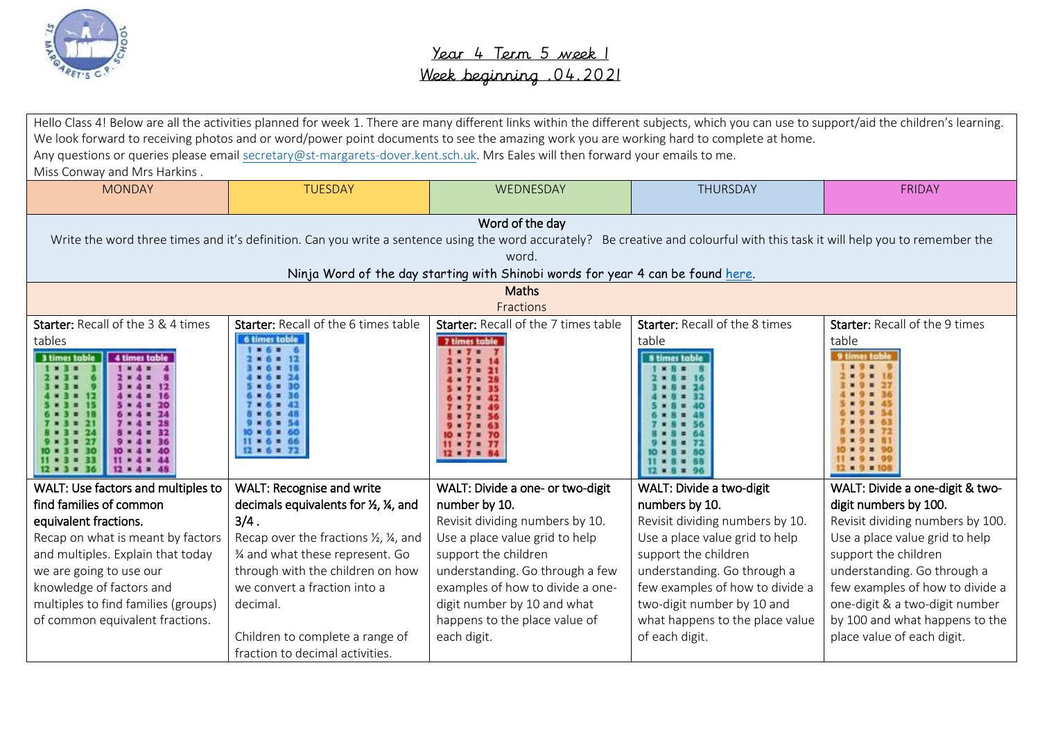

|                                     | Hello Class 4! Below are all the activities planned for week 1. There are many different links within the different subjects, which you can use to support/aid the children's learning. |                                                                                 |                                 |                                  |
|-------------------------------------|-----------------------------------------------------------------------------------------------------------------------------------------------------------------------------------------|---------------------------------------------------------------------------------|---------------------------------|----------------------------------|
|                                     | We look forward to receiving photos and or word/power point documents to see the amazing work you are working hard to complete at home.                                                 |                                                                                 |                                 |                                  |
|                                     | Any questions or queries please email secretary@st-margarets-dover.kent.sch.uk. Mrs Eales will then forward your emails to me.                                                          |                                                                                 |                                 |                                  |
| Miss Conway and Mrs Harkins.        |                                                                                                                                                                                         |                                                                                 |                                 |                                  |
| <b>MONDAY</b>                       | <b>TUESDAY</b>                                                                                                                                                                          | WEDNESDAY                                                                       | THURSDAY                        | <b>FRIDAY</b>                    |
|                                     |                                                                                                                                                                                         |                                                                                 |                                 |                                  |
|                                     |                                                                                                                                                                                         | Word of the day                                                                 |                                 |                                  |
|                                     | Write the word three times and it's definition. Can you write a sentence using the word accurately? Be creative and colourful with this task it will help you to remember the           |                                                                                 |                                 |                                  |
|                                     |                                                                                                                                                                                         | word.                                                                           |                                 |                                  |
|                                     |                                                                                                                                                                                         | Ninja Word of the day starting with Shinobi words for year 4 can be found here. |                                 |                                  |
|                                     |                                                                                                                                                                                         | <b>Maths</b>                                                                    |                                 |                                  |
|                                     |                                                                                                                                                                                         | Fractions                                                                       |                                 |                                  |
| Starter: Recall of the 3 & 4 times  | Starter: Recall of the 6 times table                                                                                                                                                    | Starter: Recall of the 7 times table                                            | Starter: Recall of the 8 times  | Starter: Recall of the 9 times   |
| tables                              | <b>6 times toble</b>                                                                                                                                                                    | 7 times table<br>$x - 7 =$                                                      | table                           | table                            |
| 3 times tabl<br>4 times table       |                                                                                                                                                                                         | $x 7 = 14$                                                                      | <b>8 times table</b>            | 9 times table                    |
|                                     |                                                                                                                                                                                         |                                                                                 |                                 |                                  |
|                                     |                                                                                                                                                                                         |                                                                                 |                                 |                                  |
|                                     |                                                                                                                                                                                         |                                                                                 |                                 |                                  |
|                                     |                                                                                                                                                                                         | $= 70$                                                                          |                                 |                                  |
|                                     | $x + 1$                                                                                                                                                                                 | $\cdots$<br>$12 \times 7 = 84$                                                  |                                 |                                  |
| $12 \times 4 = 45$                  |                                                                                                                                                                                         |                                                                                 |                                 |                                  |
| WALT: Use factors and multiples to  | WALT: Recognise and write                                                                                                                                                               | WALT: Divide a one- or two-digit                                                | WALT: Divide a two-digit        | WALT: Divide a one-digit & two-  |
| find families of common             | decimals equivalents for 1/2, 1/4, and                                                                                                                                                  | number by 10.                                                                   | numbers by 10.                  | digit numbers by 100.            |
| equivalent fractions.               | $3/4$ .                                                                                                                                                                                 | Revisit dividing numbers by 10.                                                 | Revisit dividing numbers by 10. | Revisit dividing numbers by 100. |
| Recap on what is meant by factors   | Recap over the fractions 1/2, 1/4, and                                                                                                                                                  | Use a place value grid to help                                                  | Use a place value grid to help  | Use a place value grid to help   |
| and multiples. Explain that today   | 3⁄4 and what these represent. Go                                                                                                                                                        | support the children                                                            | support the children            | support the children             |
| we are going to use our             | through with the children on how                                                                                                                                                        | understanding. Go through a few                                                 | understanding. Go through a     | understanding. Go through a      |
| knowledge of factors and            | we convert a fraction into a                                                                                                                                                            | examples of how to divide a one-                                                | few examples of how to divide a | few examples of how to divide a  |
| multiples to find families (groups) | decimal.                                                                                                                                                                                | digit number by 10 and what                                                     | two-digit number by 10 and      | one-digit & a two-digit number   |
| of common equivalent fractions.     |                                                                                                                                                                                         | happens to the place value of                                                   | what happens to the place value | by 100 and what happens to the   |
|                                     | Children to complete a range of                                                                                                                                                         | each digit.                                                                     | of each digit.                  | place value of each digit.       |
|                                     | fraction to decimal activities.                                                                                                                                                         |                                                                                 |                                 |                                  |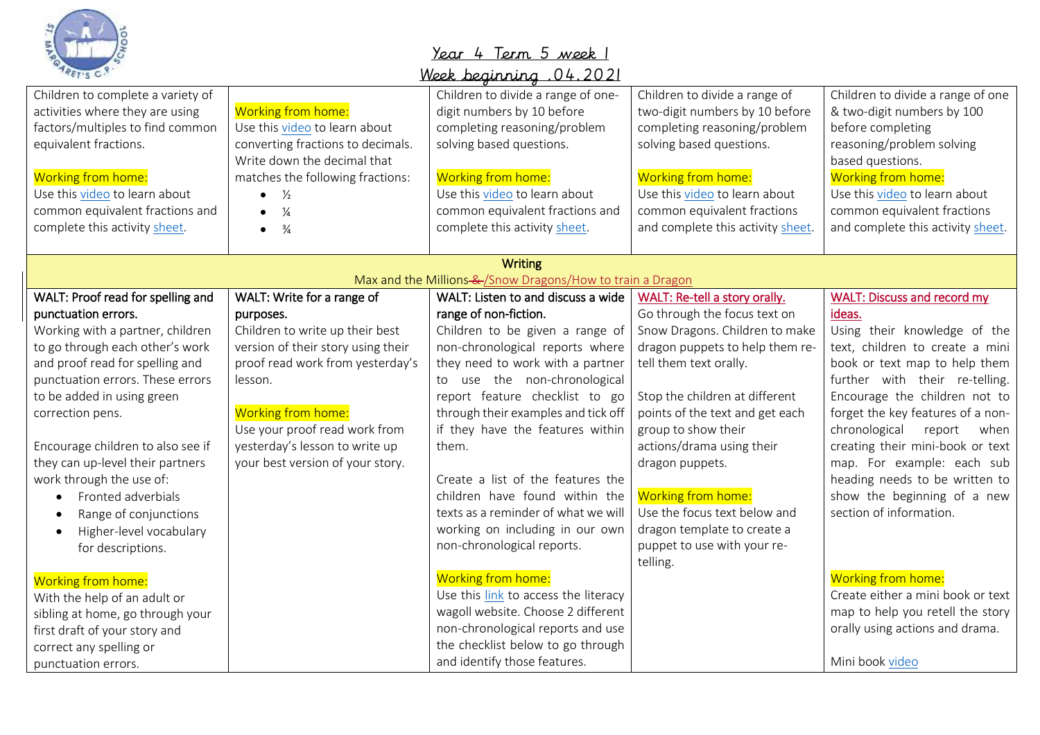

# Year 4 Term 5 week 1

| <u> 12021 . Week beainning</u> |  |  |
|--------------------------------|--|--|
|                                |  |  |

| Children to complete a variety of    |                                    | Children to divide a range of one-                         | Children to divide a range of     | Children to divide a range of one  |
|--------------------------------------|------------------------------------|------------------------------------------------------------|-----------------------------------|------------------------------------|
| activities where they are using      | Working from home:                 | digit numbers by 10 before                                 | two-digit numbers by 10 before    | & two-digit numbers by 100         |
| factors/multiples to find common     | Use this video to learn about      | completing reasoning/problem                               | completing reasoning/problem      | before completing                  |
| equivalent fractions.                | converting fractions to decimals.  | solving based questions.                                   | solving based questions.          | reasoning/problem solving          |
|                                      | Write down the decimal that        |                                                            |                                   | based questions.                   |
| Working from home:                   | matches the following fractions:   | Working from home:                                         | Working from home:                | Working from home:                 |
| Use this video to learn about        | $\frac{1}{2}$<br>$\bullet$         | Use this video to learn about                              | Use this video to learn about     | Use this video to learn about      |
| common equivalent fractions and      | $\frac{1}{4}$<br>$\bullet$         | common equivalent fractions and                            | common equivalent fractions       | common equivalent fractions        |
| complete this activity sheet.        | $\frac{3}{4}$<br>$\bullet$         | complete this activity sheet.                              | and complete this activity sheet. | and complete this activity sheet.  |
|                                      |                                    |                                                            |                                   |                                    |
|                                      |                                    | <b>Writing</b>                                             |                                   |                                    |
|                                      |                                    | Max and the Millions-&-/Snow Dragons/How to train a Dragon |                                   |                                    |
| WALT: Proof read for spelling and    | WALT: Write for a range of         | WALT: Listen to and discuss a wide                         | WALT: Re-tell a story orally.     | <b>WALT: Discuss and record my</b> |
| punctuation errors.                  | purposes.                          | range of non-fiction.                                      | Go through the focus text on      | ideas.                             |
| Working with a partner, children     | Children to write up their best    | Children to be given a range of                            | Snow Dragons. Children to make    | Using their knowledge of the       |
| to go through each other's work      | version of their story using their | non-chronological reports where                            | dragon puppets to help them re-   | text, children to create a mini    |
| and proof read for spelling and      | proof read work from yesterday's   | they need to work with a partner                           | tell them text orally.            | book or text map to help them      |
| punctuation errors. These errors     | lesson.                            | to use the non-chronological                               |                                   | further with their re-telling.     |
| to be added in using green           |                                    | report feature checklist to go                             | Stop the children at different    | Encourage the children not to      |
| correction pens.                     | Working from home:                 | through their examples and tick off                        | points of the text and get each   | forget the key features of a non-  |
|                                      | Use your proof read work from      | if they have the features within                           | group to show their               | chronological<br>report<br>when    |
| Encourage children to also see if    | yesterday's lesson to write up     | them.                                                      | actions/drama using their         | creating their mini-book or text   |
| they can up-level their partners     | your best version of your story.   |                                                            | dragon puppets.                   | map. For example: each sub         |
| work through the use of:             |                                    | Create a list of the features the                          |                                   | heading needs to be written to     |
| Fronted adverbials                   |                                    | children have found within the                             | Working from home:                | show the beginning of a new        |
| Range of conjunctions<br>$\bullet$   |                                    | texts as a reminder of what we will                        | Use the focus text below and      | section of information.            |
| Higher-level vocabulary<br>$\bullet$ |                                    | working on including in our own                            | dragon template to create a       |                                    |
| for descriptions.                    |                                    | non-chronological reports.                                 | puppet to use with your re-       |                                    |
|                                      |                                    |                                                            | telling.                          |                                    |
| Working from home:                   |                                    | <b>Working from home:</b>                                  |                                   | <b>Working from home:</b>          |
| With the help of an adult or         |                                    | Use this link to access the literacy                       |                                   | Create either a mini book or text  |
| sibling at home, go through your     |                                    | wagoll website. Choose 2 different                         |                                   | map to help you retell the story   |
| first draft of your story and        |                                    | non-chronological reports and use                          |                                   | orally using actions and drama.    |
| correct any spelling or              |                                    | the checklist below to go through                          |                                   |                                    |
| punctuation errors.                  |                                    | and identify those features.                               |                                   | Mini book video                    |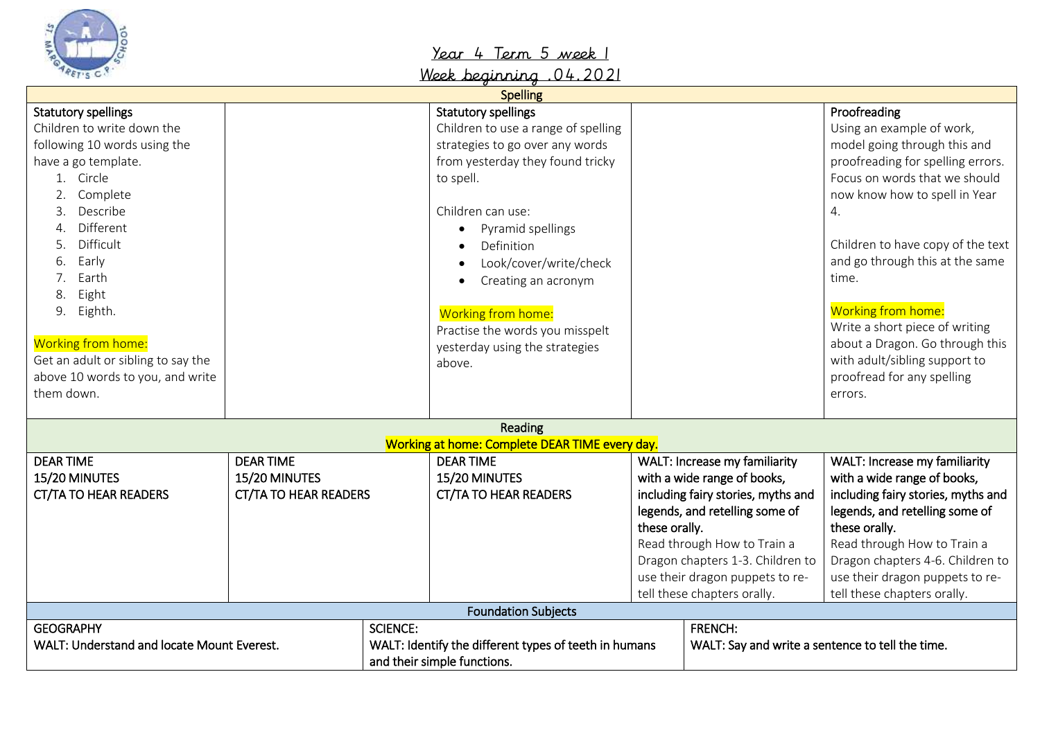

## Year 4 Term 5 week 1

Week beginning .04.2021

|                                                                                                                                                                                                                                                                                                                                                                       |                                                                   |                 | <b>Spelling</b>                                                                                                                                                                                                                                                                                                                                                                               |               |                                                                                                                                                                                                                                                                           |                                                                                                                                                                                                                                                                                                                                                                                                                                              |
|-----------------------------------------------------------------------------------------------------------------------------------------------------------------------------------------------------------------------------------------------------------------------------------------------------------------------------------------------------------------------|-------------------------------------------------------------------|-----------------|-----------------------------------------------------------------------------------------------------------------------------------------------------------------------------------------------------------------------------------------------------------------------------------------------------------------------------------------------------------------------------------------------|---------------|---------------------------------------------------------------------------------------------------------------------------------------------------------------------------------------------------------------------------------------------------------------------------|----------------------------------------------------------------------------------------------------------------------------------------------------------------------------------------------------------------------------------------------------------------------------------------------------------------------------------------------------------------------------------------------------------------------------------------------|
| <b>Statutory spellings</b><br>Children to write down the<br>following 10 words using the<br>have a go template.<br>1. Circle<br>Complete<br>Describe<br>3.<br>Different<br>4.<br>Difficult<br>5.<br>Early<br>6.<br>Earth<br>Eight<br>8<br>Eighth.<br>9.<br>Working from home:<br>Get an adult or sibling to say the<br>above 10 words to you, and write<br>them down. |                                                                   |                 | <b>Statutory spellings</b><br>Children to use a range of spelling<br>strategies to go over any words<br>from yesterday they found tricky<br>to spell.<br>Children can use:<br>Pyramid spellings<br>$\bullet$<br>Definition<br>$\bullet$<br>Look/cover/write/check<br>Creating an acronym<br>Working from home:<br>Practise the words you misspelt<br>yesterday using the strategies<br>above. |               |                                                                                                                                                                                                                                                                           | Proofreading<br>Using an example of work,<br>model going through this and<br>proofreading for spelling errors.<br>Focus on words that we should<br>now know how to spell in Year<br>4.<br>Children to have copy of the text<br>and go through this at the same<br>time.<br>Working from home:<br>Write a short piece of writing<br>about a Dragon. Go through this<br>with adult/sibling support to<br>proofread for any spelling<br>errors. |
|                                                                                                                                                                                                                                                                                                                                                                       |                                                                   |                 | Reading                                                                                                                                                                                                                                                                                                                                                                                       |               |                                                                                                                                                                                                                                                                           |                                                                                                                                                                                                                                                                                                                                                                                                                                              |
|                                                                                                                                                                                                                                                                                                                                                                       |                                                                   |                 | Working at home: Complete DEAR TIME every day.                                                                                                                                                                                                                                                                                                                                                |               |                                                                                                                                                                                                                                                                           |                                                                                                                                                                                                                                                                                                                                                                                                                                              |
| <b>DEAR TIME</b><br>15/20 MINUTES<br><b>CT/TA TO HEAR READERS</b>                                                                                                                                                                                                                                                                                                     | <b>DEAR TIME</b><br>15/20 MINUTES<br><b>CT/TA TO HEAR READERS</b> |                 | <b>DEAR TIME</b><br>15/20 MINUTES<br><b>CT/TA TO HEAR READERS</b>                                                                                                                                                                                                                                                                                                                             | these orally. | WALT: Increase my familiarity<br>with a wide range of books,<br>including fairy stories, myths and<br>legends, and retelling some of<br>Read through How to Train a<br>Dragon chapters 1-3. Children to<br>use their dragon puppets to re-<br>tell these chapters orally. | WALT: Increase my familiarity<br>with a wide range of books,<br>including fairy stories, myths and<br>legends, and retelling some of<br>these orally.<br>Read through How to Train a<br>Dragon chapters 4-6. Children to<br>use their dragon puppets to re-<br>tell these chapters orally.                                                                                                                                                   |
|                                                                                                                                                                                                                                                                                                                                                                       |                                                                   |                 | <b>Foundation Subjects</b>                                                                                                                                                                                                                                                                                                                                                                    |               |                                                                                                                                                                                                                                                                           |                                                                                                                                                                                                                                                                                                                                                                                                                                              |
| <b>GEOGRAPHY</b><br>WALT: Understand and locate Mount Everest.                                                                                                                                                                                                                                                                                                        |                                                                   | <b>SCIENCE:</b> | WALT: Identify the different types of teeth in humans<br>and their simple functions.                                                                                                                                                                                                                                                                                                          |               | <b>FRENCH:</b><br>WALT: Say and write a sentence to tell the time.                                                                                                                                                                                                        |                                                                                                                                                                                                                                                                                                                                                                                                                                              |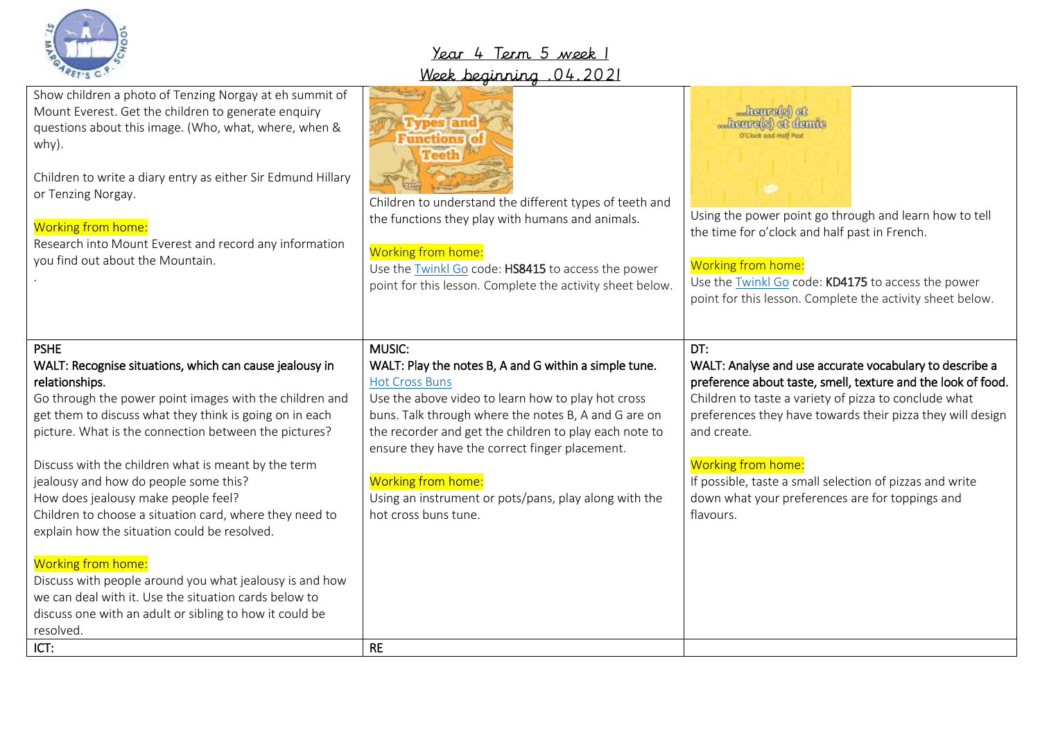

### Year 4 Term 5 week 1 Week beginning  $0/12021$

|                                                                                                                                                                                                                                                                                                                                                                                                                                                                                                                                                                                                                                                                                                                                             | <u>Week alguniang</u>                                                                                                                                                                                                                                                                                                                                                                                                     |                                                                                                                                                                                                                                                                                                                                                                                                                        |
|---------------------------------------------------------------------------------------------------------------------------------------------------------------------------------------------------------------------------------------------------------------------------------------------------------------------------------------------------------------------------------------------------------------------------------------------------------------------------------------------------------------------------------------------------------------------------------------------------------------------------------------------------------------------------------------------------------------------------------------------|---------------------------------------------------------------------------------------------------------------------------------------------------------------------------------------------------------------------------------------------------------------------------------------------------------------------------------------------------------------------------------------------------------------------------|------------------------------------------------------------------------------------------------------------------------------------------------------------------------------------------------------------------------------------------------------------------------------------------------------------------------------------------------------------------------------------------------------------------------|
| Show children a photo of Tenzing Norgay at eh summit of<br>Mount Everest. Get the children to generate enquiry<br>questions about this image. (Who, what, where, when &<br>why).<br>Children to write a diary entry as either Sir Edmund Hillary<br>or Tenzing Norgay.<br>Working from home:<br>Research into Mount Everest and record any information<br>you find out about the Mountain.                                                                                                                                                                                                                                                                                                                                                  | Children to understand the different types of teeth and<br>the functions they play with humans and animals.<br>Working from home:<br>Use the Twinkl Go code: HS8415 to access the power<br>point for this lesson. Complete the activity sheet below.                                                                                                                                                                      | heure(s) et<br>hemre(s) et demie<br><b>D'Clock and Half Past</b><br>Using the power point go through and learn how to tell<br>the time for o'clock and half past in French.<br>Working from home:<br>Use the Twinkl Go code: KD4175 to access the power<br>point for this lesson. Complete the activity sheet below.                                                                                                   |
| <b>PSHE</b><br>WALT: Recognise situations, which can cause jealousy in<br>relationships.<br>Go through the power point images with the children and<br>get them to discuss what they think is going on in each<br>picture. What is the connection between the pictures?<br>Discuss with the children what is meant by the term<br>jealousy and how do people some this?<br>How does jealousy make people feel?<br>Children to choose a situation card, where they need to<br>explain how the situation could be resolved.<br>Working from home:<br>Discuss with people around you what jealousy is and how<br>we can deal with it. Use the situation cards below to<br>discuss one with an adult or sibling to how it could be<br>resolved. | MUSIC:<br>WALT: Play the notes B, A and G within a simple tune.<br><b>Hot Cross Buns</b><br>Use the above video to learn how to play hot cross<br>buns. Talk through where the notes B, A and G are on<br>the recorder and get the children to play each note to<br>ensure they have the correct finger placement.<br>Working from home:<br>Using an instrument or pots/pans, play along with the<br>hot cross buns tune. | DT:<br>WALT: Analyse and use accurate vocabulary to describe a<br>preference about taste, smell, texture and the look of food.<br>Children to taste a variety of pizza to conclude what<br>preferences they have towards their pizza they will design<br>and create.<br>Working from home:<br>If possible, taste a small selection of pizzas and write<br>down what your preferences are for toppings and<br>flavours. |
| ICT:                                                                                                                                                                                                                                                                                                                                                                                                                                                                                                                                                                                                                                                                                                                                        | <b>RE</b>                                                                                                                                                                                                                                                                                                                                                                                                                 |                                                                                                                                                                                                                                                                                                                                                                                                                        |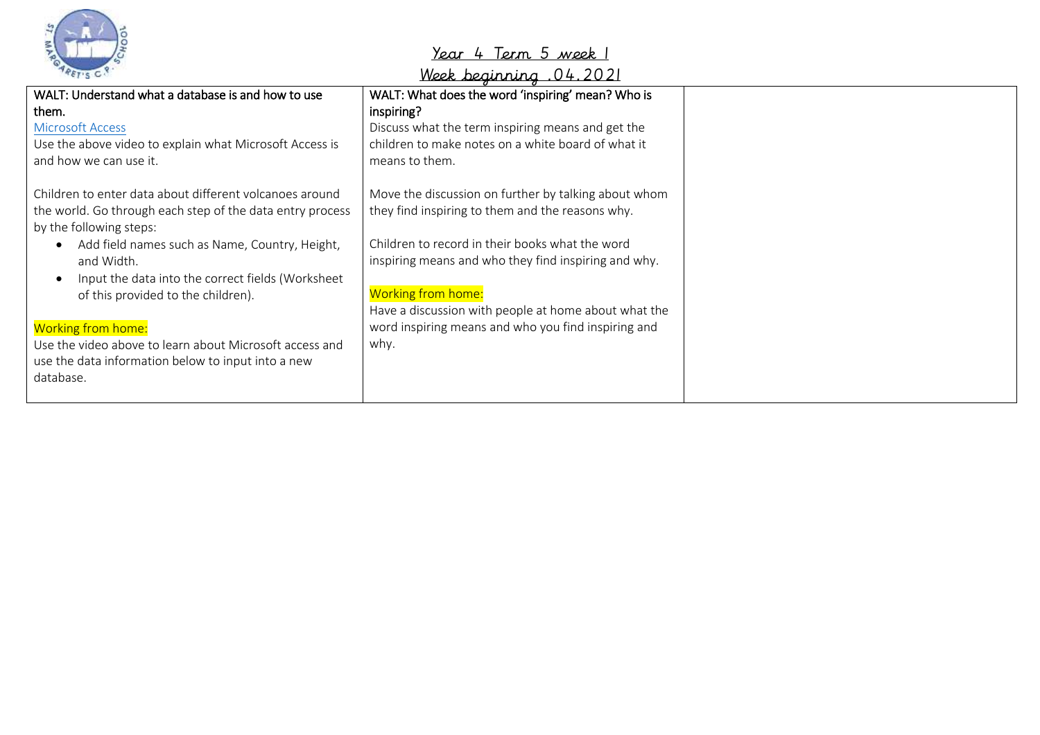

## Year 4 Term 5 week 1

Week beginning .04.2021

| WALT: Understand what a database is and how to use        | WALT: What does the word 'inspiring' mean? Who is    |
|-----------------------------------------------------------|------------------------------------------------------|
| them.                                                     | inspiring?                                           |
| <b>Microsoft Access</b>                                   | Discuss what the term inspiring means and get the    |
| Use the above video to explain what Microsoft Access is   | children to make notes on a white board of what it   |
| and how we can use it.                                    | means to them.                                       |
| Children to enter data about different volcanoes around   | Move the discussion on further by talking about whom |
| the world. Go through each step of the data entry process | they find inspiring to them and the reasons why.     |
| by the following steps:                                   |                                                      |
| Add field names such as Name, Country, Height,            | Children to record in their books what the word      |
| and Width.                                                | inspiring means and who they find inspiring and why. |
| Input the data into the correct fields (Worksheet         |                                                      |
| of this provided to the children).                        | <b>Working from home:</b>                            |
|                                                           | Have a discussion with people at home about what the |
| <b>Working from home:</b>                                 | word inspiring means and who you find inspiring and  |
| Use the video above to learn about Microsoft access and   | why.                                                 |
| use the data information below to input into a new        |                                                      |
| database.                                                 |                                                      |
|                                                           |                                                      |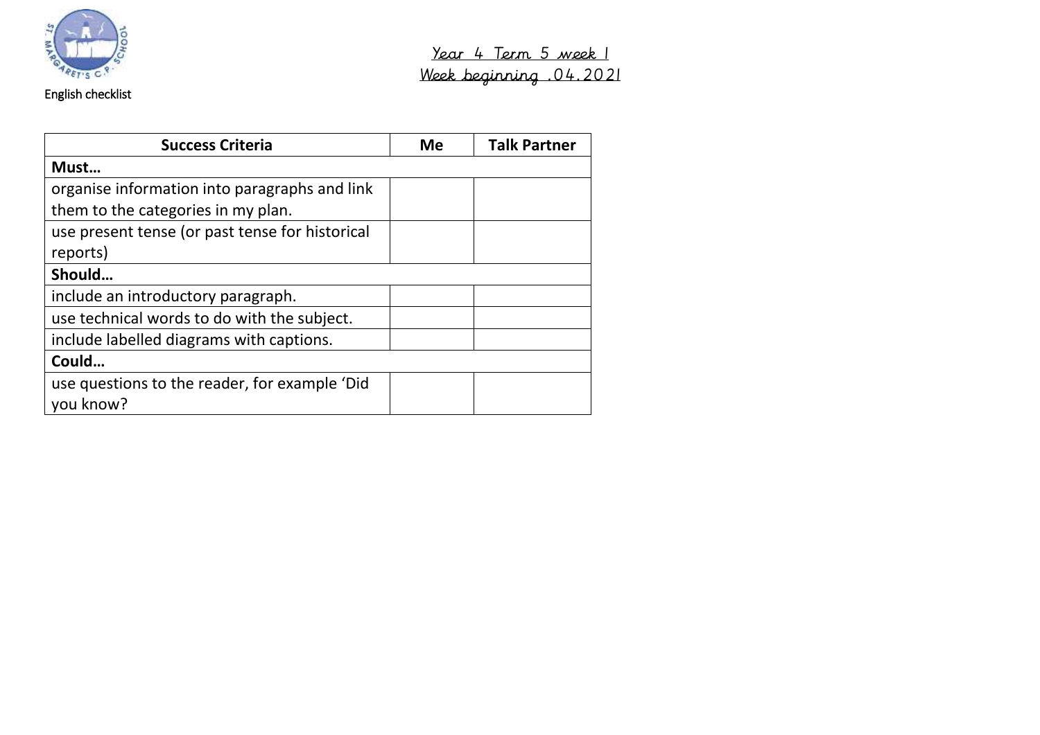

## English checklist

| <b>Success Criteria</b>                         | <b>Me</b> | <b>Talk Partner</b> |
|-------------------------------------------------|-----------|---------------------|
| Must                                            |           |                     |
| organise information into paragraphs and link   |           |                     |
| them to the categories in my plan.              |           |                     |
| use present tense (or past tense for historical |           |                     |
| reports)                                        |           |                     |
| Should                                          |           |                     |
| include an introductory paragraph.              |           |                     |
| use technical words to do with the subject.     |           |                     |
| include labelled diagrams with captions.        |           |                     |
| Could                                           |           |                     |
| use questions to the reader, for example 'Did   |           |                     |
| you know?                                       |           |                     |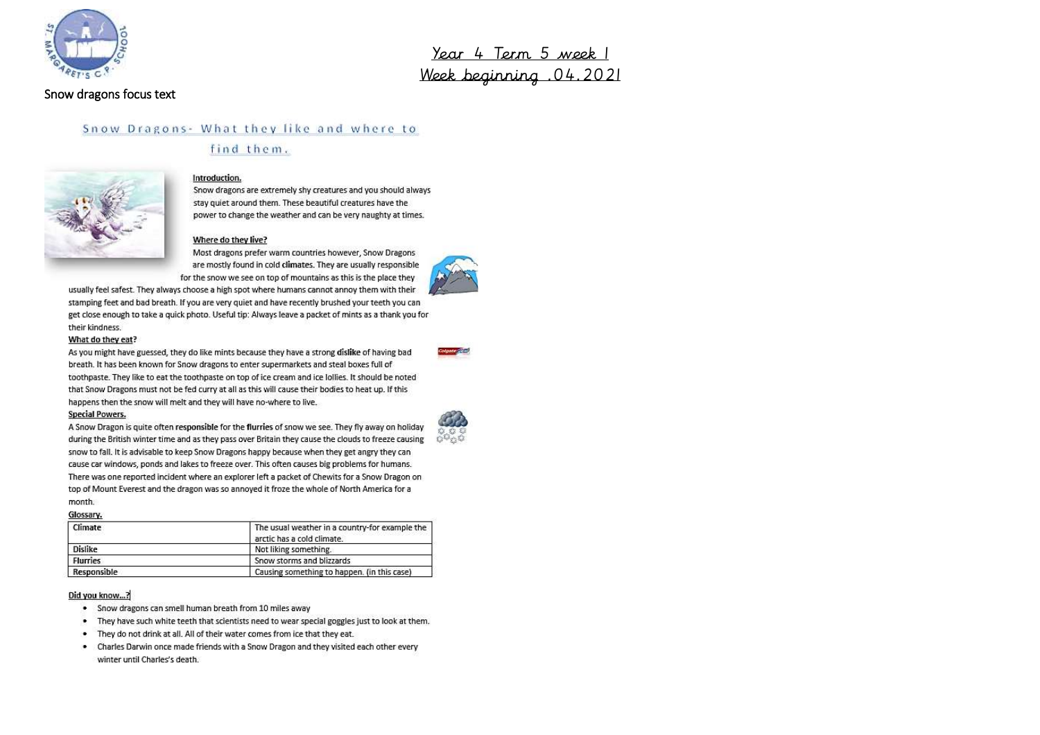

### Snow dragons focus text

<u>Year 4 Term 5 week 1</u> Week beginning .04.2021

### Snow Dragons - What they like and where to find them.



### Introduction.

Snow dragons are extremely shy creatures and you should always stay quiet around them. These beautiful creatures have the power to change the weather and can be very naughty at times.

#### Where do they live?

Most dragons prefer warm countries however, Snow Dragons are mostly found in cold climates. They are usually responsible for the snow we see on top of mountains as this is the place they



usually feel safest. They always choose a high spot where humans cannot annoy them with their stamping feet and bad breath. If you are very quiet and have recently brushed your teeth you can get close enough to take a quick photo. Useful tip: Always leave a packet of mints as a thank you for their kindness.

#### What do they eat?

As you might have guessed, they do like mints because they have a strong dislike of having bad breath. It has been known for Snow dragons to enter supermarkets and steal boxes full of toothpaste. They like to eat the toothpaste on top of ice cream and ice lollies. It should be noted that Snow Dragons must not be fed curry at all as this will cause their bodies to heat up. If this happens then the snow will melt and they will have no-where to live.

#### **Special Powers.**

A Snow Dragon is quite often responsible for the flurries of snow we see. They fly away on holiday during the British winter time and as they pass over Britain they cause the clouds to freeze causing snow to fall. It is advisable to keep Snow Dragons happy because when they get angry they can cause car windows, ponds and lakes to freeze over. This often causes big problems for humans. There was one reported incident where an explorer left a packet of Chewits for a Snow Dragon on top of Mount Everest and the dragon was so annoyed it froze the whole of North America for a month.

#### Glossary.

| Climate<br>한바람이라 승규가 있다 | The usual weather in a country-for example the<br>arctic has a cold climate. |  |
|-------------------------|------------------------------------------------------------------------------|--|
| <b>Dislike</b>          | Not liking something.                                                        |  |
| <b>Flurries</b>         | Snow storms and blizzards                                                    |  |
| Responsible             | Causing something to happen. (in this case)                                  |  |

#### Did you know...?

- . Snow dragons can smell human breath from 10 miles away
- . They have such white teeth that scientists need to wear special goggles just to look at them.
- They do not drink at all. All of their water comes from ice that they eat. ۰.
- ۰. Charles Darwin once made friends with a Snow Dragon and they visited each other every winter until Charles's death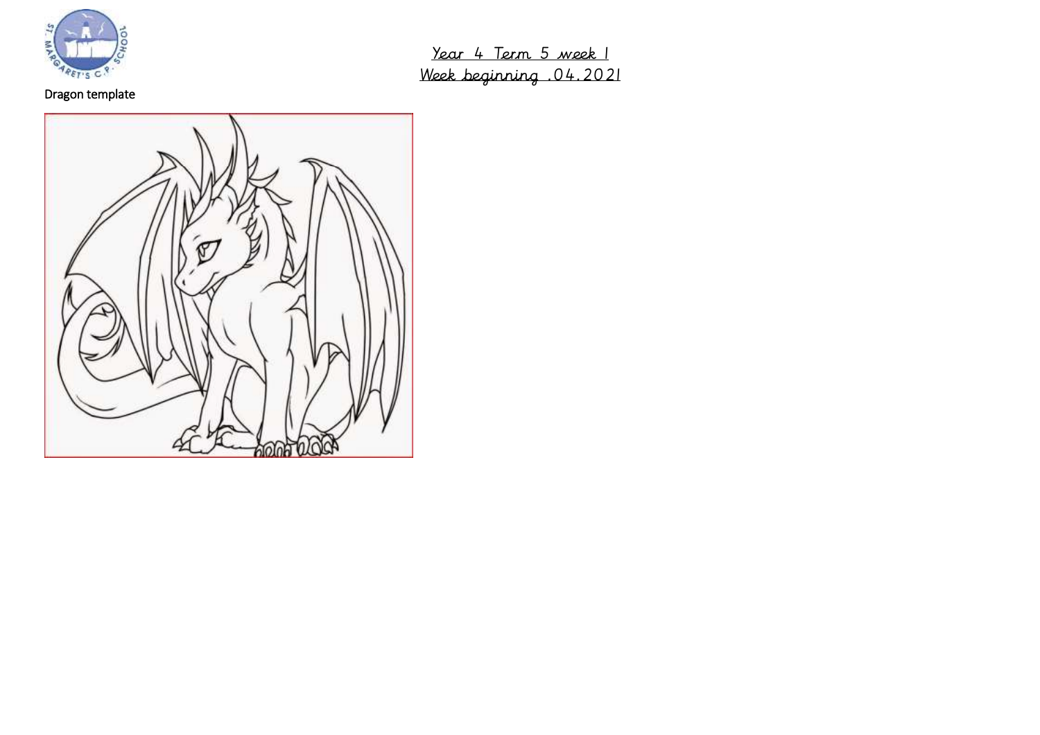

Dragon template

Year 4 Term 5 week 1 Week beginning .04.2021

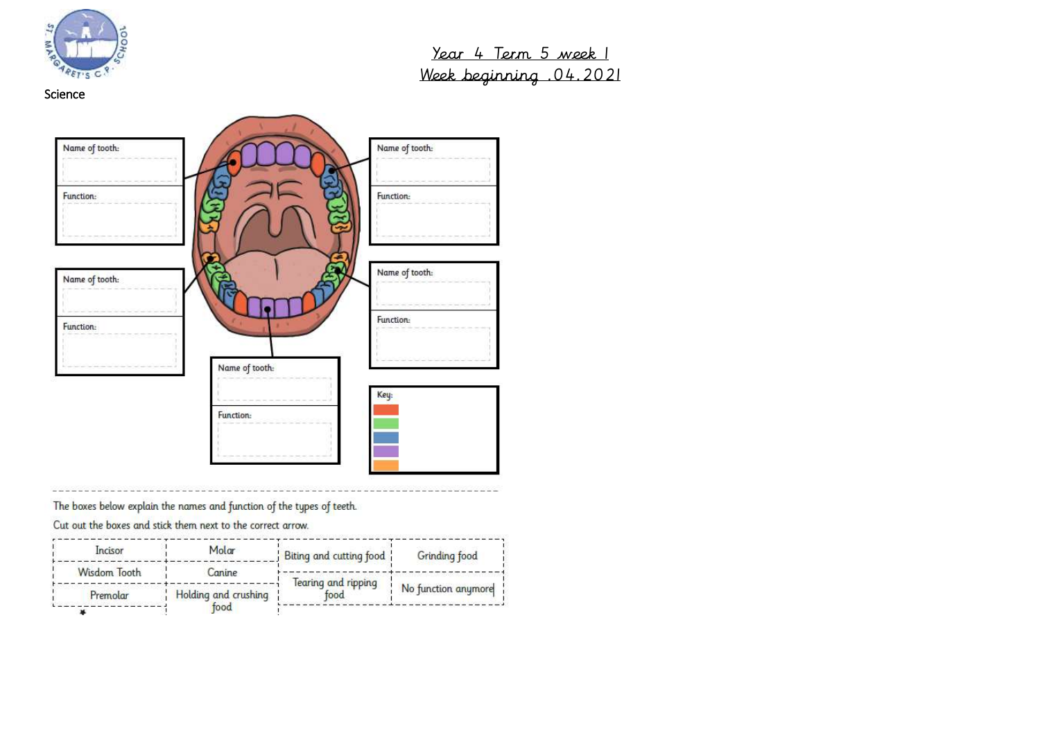



The boxes below explain the names and function of the types of teeth.

Cut out the boxes and stick them next to the correct arrow.

| Incisor      | Molar                        | Biting and cutting food | Grinding food                                                |  |
|--------------|------------------------------|-------------------------|--------------------------------------------------------------|--|
| Wisdom Tooth | Canine                       | Tearing and ripping     |                                                              |  |
| Premolar     | Holding and crushing<br>food | food                    | No function anymore<br>ATAN PARTAH ANG ANG ANG ANG ANG ANG A |  |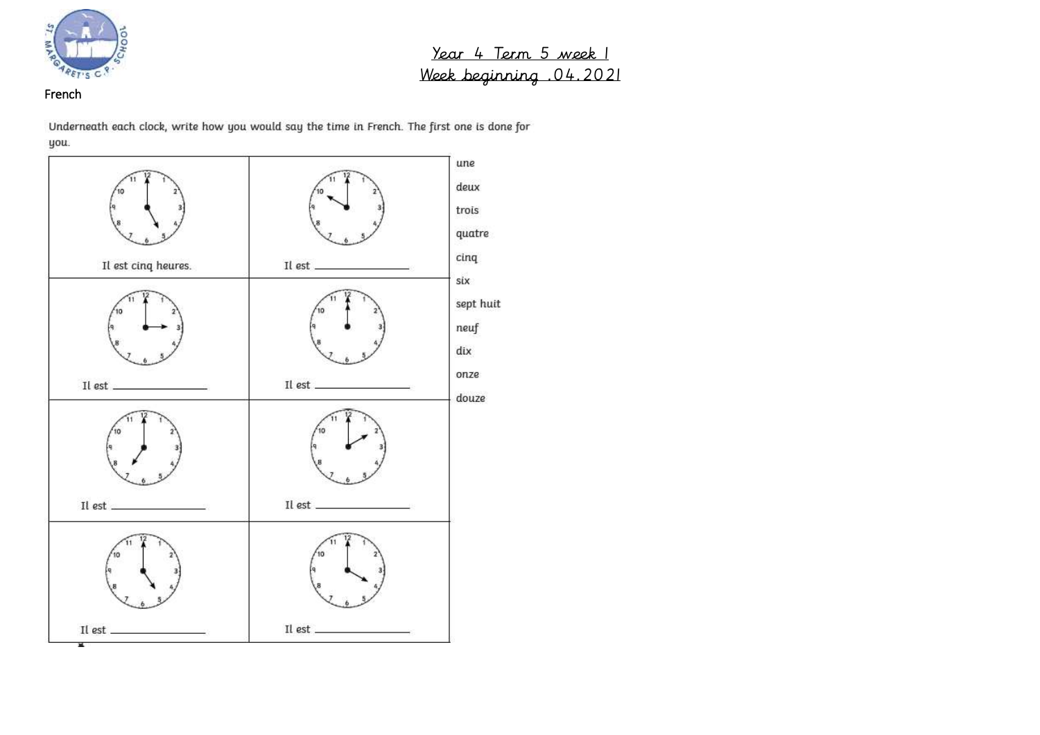

## French

Underneath each clock, write how you would say the time in French. The first one is done for you.

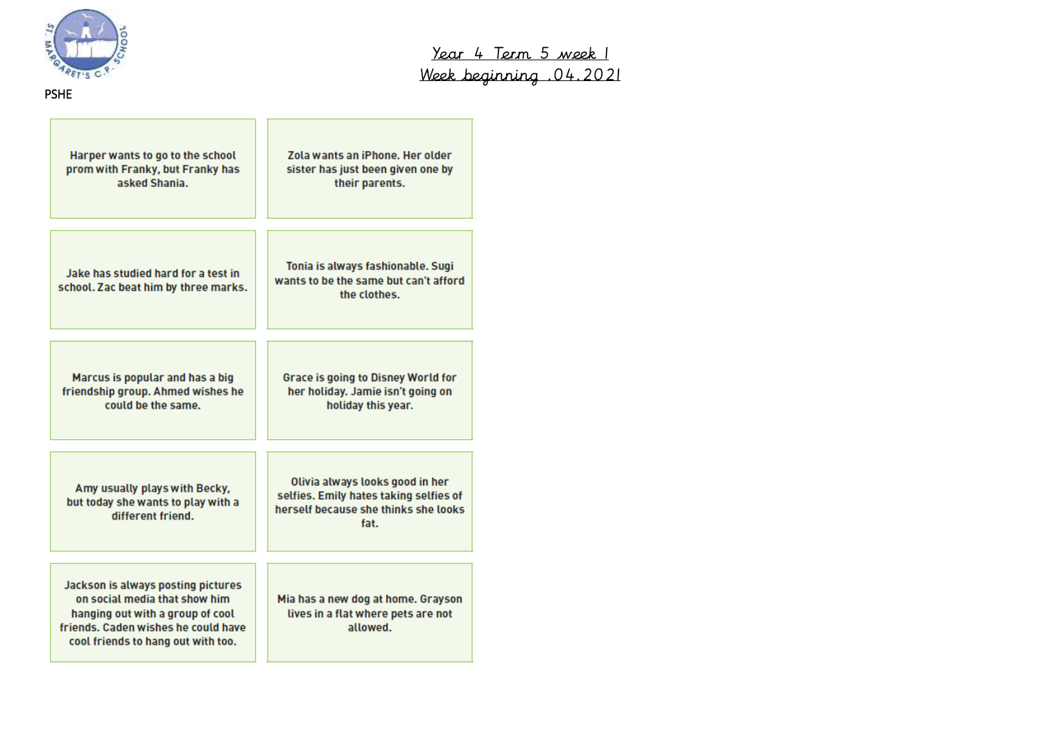

| Harper wants to go to the school<br>prom with Franky, but Franky has<br>asked Shania.                                                                                                | Zola wants an iPhone. Her older<br>sister has just been given one by<br>their parents.                                    |
|--------------------------------------------------------------------------------------------------------------------------------------------------------------------------------------|---------------------------------------------------------------------------------------------------------------------------|
| Jake has studied hard for a test in<br>school. Zac beat him by three marks.                                                                                                          | Tonia is always fashionable. Sugi<br>wants to be the same but can't afford<br>the clothes.                                |
| Marcus is popular and has a big<br>friendship group. Ahmed wishes he<br>could be the same.                                                                                           | Grace is going to Disney World for<br>her holiday. Jamie isn't going on<br>holiday this year.                             |
| Amy usually plays with Becky,<br>but today she wants to play with a<br>different friend.                                                                                             | Olivia always looks good in her<br>selfies. Emily hates taking selfies of<br>herself because she thinks she looks<br>fat. |
| Jackson is always posting pictures<br>on social media that show him<br>hanging out with a group of cool<br>friends. Caden wishes he could have<br>cool friends to hang out with too. | Mia has a new dog at home. Grayson<br>lives in a flat where pets are not<br>allowed.                                      |